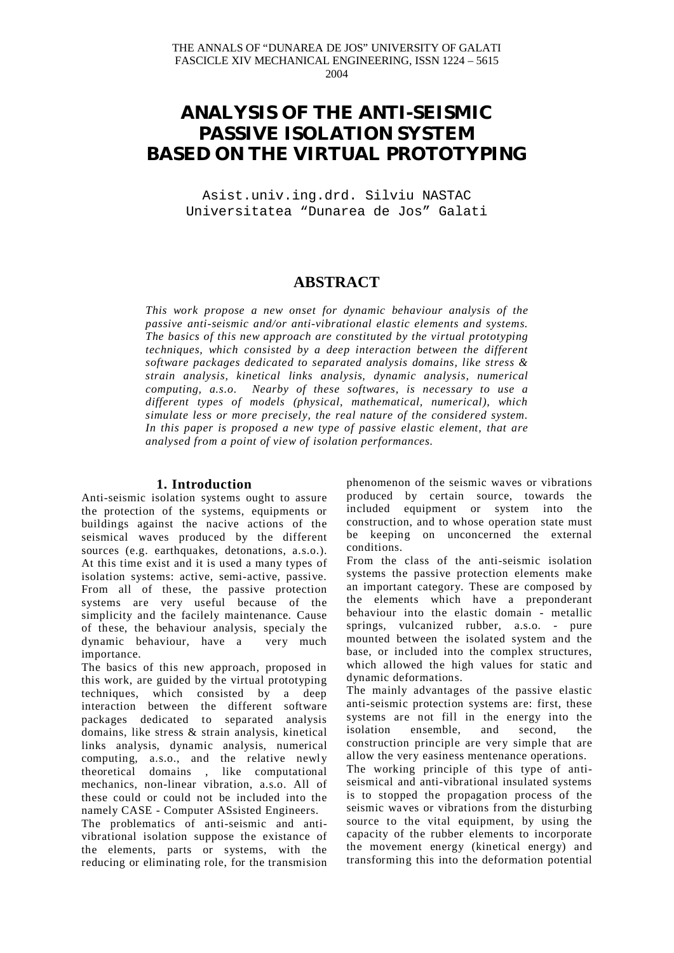# **ANALYSIS OF THE ANTI-SEISMIC PASSIVE ISOLATION SYSTEM BASED ON THE VIRTUAL PROTOTYPING**

Asist.univ.ing.drd. Silviu NASTAC Universitatea "Dunarea de Jos" Galati

## **ABSTRACT**

*This work propose a new onset for dynamic behaviour analysis of the passive anti-seismic and/or anti-vibrational elastic elements and systems. The basics of this new approach are constituted by the virtual prototyping techniques, which consisted by a deep interaction between the different software packages dedicated to separated analysis domains, like stress & strain analysis, kinetical links analysis, dynamic analysis, numerical computing, a.s.o. Nearby of these softwares, is necessary to use a different types of models (physical, mathematical, numerical), which simulate less or more precisely, the real nature of the considered system. In this paper is proposed a new type of passive elastic element, that are analysed from a point of view of isolation performances.*

### **1. Introduction**

Anti-seismic isolation systems ought to assure the protection of the systems, equipments or buildings against the nacive actions of the seismical waves produced by the different sources (e.g. earthquakes, detonations, a.s.o.). At this time exist and it is used a many types of isolation systems: active, semi-active, passive. From all of these, the passive protection systems are very useful because of the simplicity and the facilely maintenance. Cause of these, the behaviour analysis, specialy the dynamic behaviour, have a very much importance.

The basics of this new approach, proposed in this work, are guided by the virtual prototyping techniques, which consisted by a deep interaction between the different software packages dedicated to separated analysis domains, like stress & strain analysis, kinetical links analysis, dynamic analysis, numerical computing, a.s.o., and the relative newly theoretical domains , like computational mechanics, non-linear vibration, a.s.o. All of these could or could not be included into the namely CASE - Computer ASsisted Engineers.

The problematics of anti-seismic and antivibrational isolation suppose the existance of the elements, parts or systems, with the reducing or eliminating role, for the transmision phenomenon of the seismic waves or vibrations produced by certain source, towards the included equipment or system into the construction, and to whose operation state must be keeping on unconcerned the external conditions.

From the class of the anti-seismic isolation systems the passive protection elements make an important category. These are composed by the elements which have a preponderant behaviour into the elastic domain - metallic springs, vulcanized rubber, a.s.o. - pure mounted between the isolated system and the base, or included into the complex structures, which allowed the high values for static and dynamic deformations.

The mainly advantages of the passive elastic anti-seismic protection systems are: first, these systems are not fill in the energy into the isolation ensemble, and second, the construction principle are very simple that are allow the very easiness mentenance operations.

The working principle of this type of antiseismical and anti-vibrational insulated systems is to stopped the propagation process of the seismic waves or vibrations from the disturbing source to the vital equipment, by using the capacity of the rubber elements to incorporate the movement energy (kinetical energy) and transforming this into the deformation potential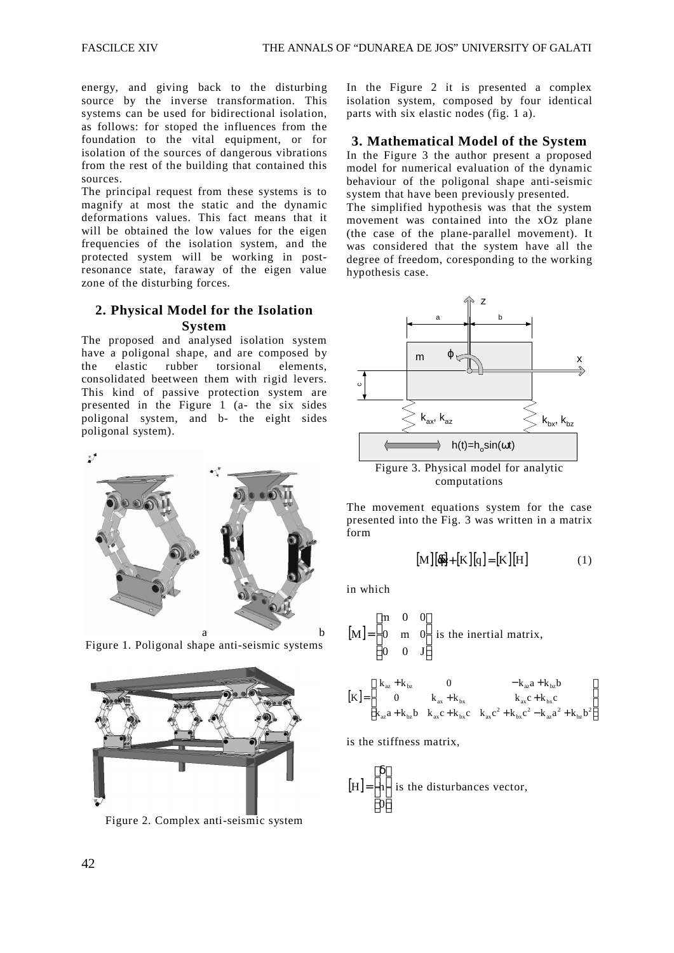energy, and giving back to the disturbing source by the inverse transformation. This systems can be used for bidirectional isolation, as follows: for stoped the influences from the foundation to the vital equipment, or for isolation of the sources of dangerous vibrations from the rest of the building that contained this sources.

The principal request from these systems is to magnify at most the static and the dynamic deformations values. This fact means that it will be obtained the low values for the eigen frequencies of the isolation system, and the protected system will be working in postresonance state, faraway of the eigen value zone of the disturbing forces.

## **2. Physical Model for the Isolation System**

The proposed and analysed isolation system have a poligonal shape, and are composed by the elastic rubber torsional elements, consolidated beetween them with rigid levers. This kind of passive protection system are presented in the Figure 1 (a- the six sides poligonal system, and b- the eight sides poligonal system).

 $\mathbb{Z}^{\mathcal{I}}$ 



a b Figure 1. Poligonal shape anti-seismic systems



Figure 2. Complex anti-seismic system

In the Figure 2 it is presented a complex isolation system, composed by four identical parts with six elastic nodes (fig. 1 a).

## **3. Mathematical Model of the System**

In the Figure 3 the author present a proposed model for numerical evaluation of the dynamic behaviour of the poligonal shape anti-seismic system that have been previously presented.

The simplified hypothesis was that the system movement was contained into the xOz plane (the case of the plane-parallel movement). It was considered that the system have all the degree of freedom, coresponding to the working hypothesis case.



computations

The movement equations system for the case presented into the Fig. 3 was written in a matrix form

$$
[\mathbf{M}][\mathbf{\vec{q}}] + [\mathbf{K}][\mathbf{q}] = [\mathbf{K}][\mathbf{H}] \tag{1}
$$

in which

[M] = 
$$
\begin{bmatrix} m & 0 & 0 \\ 0 & m & 0 \\ 0 & 0 & J \end{bmatrix}
$$
 is the inertial matrix,

$$
[\mathbf{K}] = \begin{bmatrix} k_{az} + k_{bz} & 0 & -k_{az}a + k_{bz}b \\ 0 & k_{ax} + k_{bx} & k_{ax}c + k_{bx}c \\ k_{az}a + k_{bz}b & k_{ax}c + k_{bx}c & k_{ax}c^2 + k_{bx}c^2 - k_{az}a^2 + k_{bz}b^2 \end{bmatrix}
$$

is the stiffness matrix,

$$
[H] = \begin{bmatrix} \delta \\ h \\ 0 \end{bmatrix}
$$
 is the disturbances vector,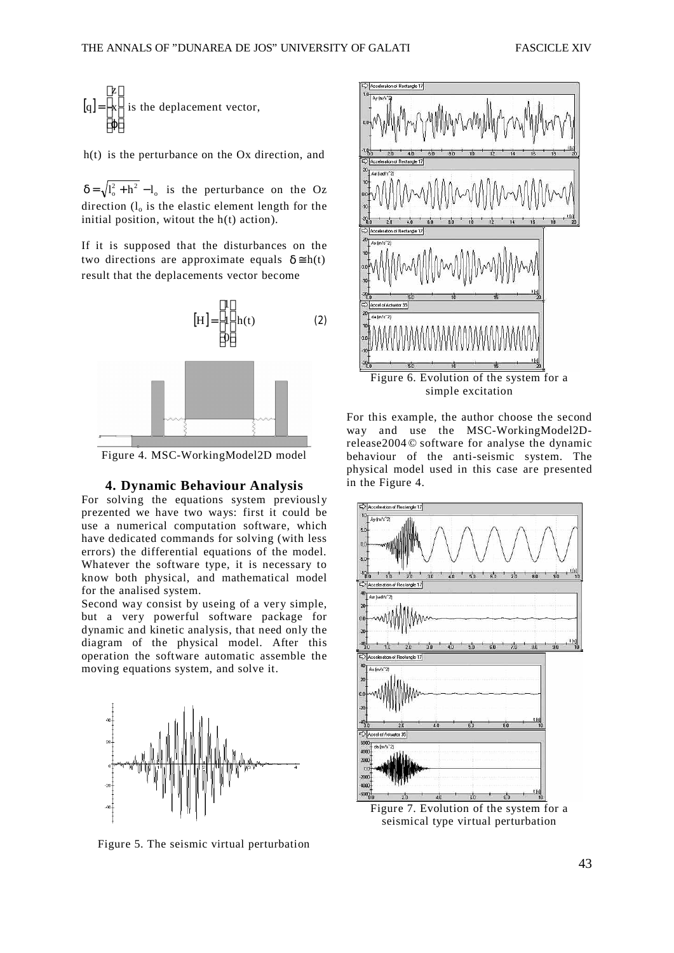$$
[q] = \begin{bmatrix} z \\ x \\ \varphi \end{bmatrix}
$$
 is the deplacement vector,

h(t) is the perturbance on the Ox direction, and

 $\delta = \sqrt{l_o^2 + h^2} - l_o$  is the perturbance on the Oz direction  $(l_0)$  is the elastic element length for the initial position, witout the h(t) action).

If it is supposed that the disturbances on the two directions are approximate equals  $\delta \approx h(t)$ result that the deplacements vector become



Figure 4. MSC-WorkingModel2D model

#### **4. Dynamic Behaviour Analysis**

For solving the equations system previously prezented we have two ways: first it could be use a numerical computation software, which have dedicated commands for solving (with less errors) the differential equations of the model. Whatever the software type, it is necessary to know both physical, and mathematical model for the analised system.

Second way consist by useing of a very simple, but a very powerful software package for dynamic and kinetic analysis, that need only the diagram of the physical model. After this operation the software automatic assemble the moving equations system, and solve it.



Figure 5. The seismic virtual perturbation



For this example, the author choose the second way and use the MSC-WorkingModel2Drelease2004 © software for analyse the dynamic behaviour of the anti-seismic system. The physical model used in this case are presented in the Figure 4.



Figure 7. Evolution of the system for a seismical type virtual perturbation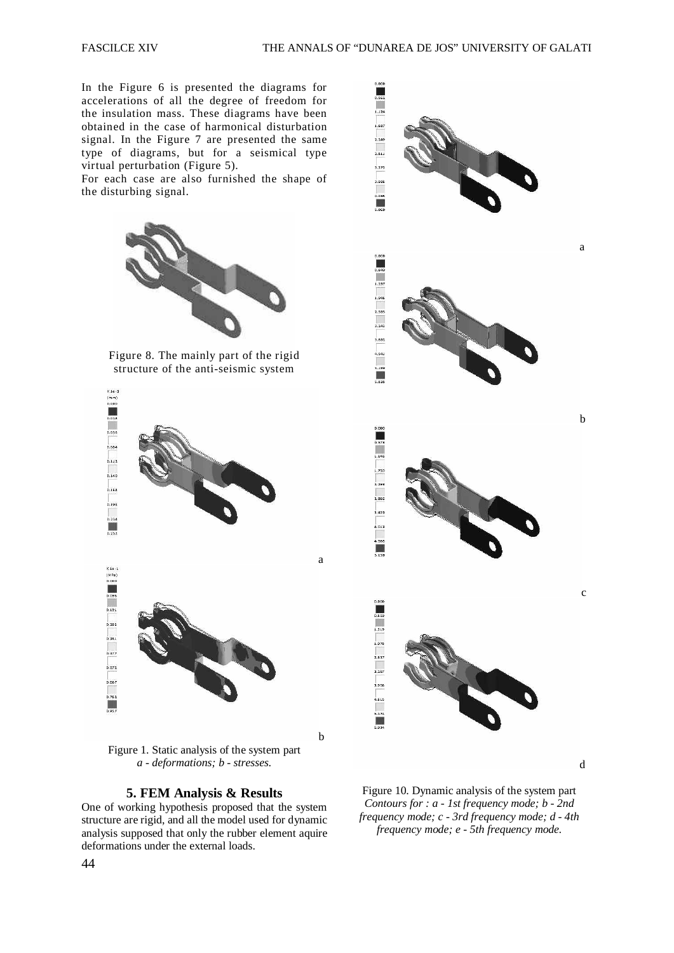In the Figure 6 is presented the diagrams for accelerations of all the degree of freedom for the insulation mass. These diagrams have been obtained in the case of harmonical disturbation signal. In the Figure 7 are presented the same type of diagrams, but for a seismical type virtual perturbation (Figure 5).

For each case are also furnished the shape of the disturbing signal.



Figure 8. The mainly part of the rigid structure of the anti-seismic system



*a - deformations; b - stresses.*

#### **5. FEM Analysis & Results**

One of working hypothesis proposed that the system structure are rigid, and all the model used for dynamic analysis supposed that only the rubber element aquire deformations under the external loads.



Figure 10. Dynamic analysis of the system part *Contours for : a - 1st frequency mode; b - 2nd frequency mode; c - 3rd frequency mode; d - 4th frequency mode; e - 5th frequency mode.*